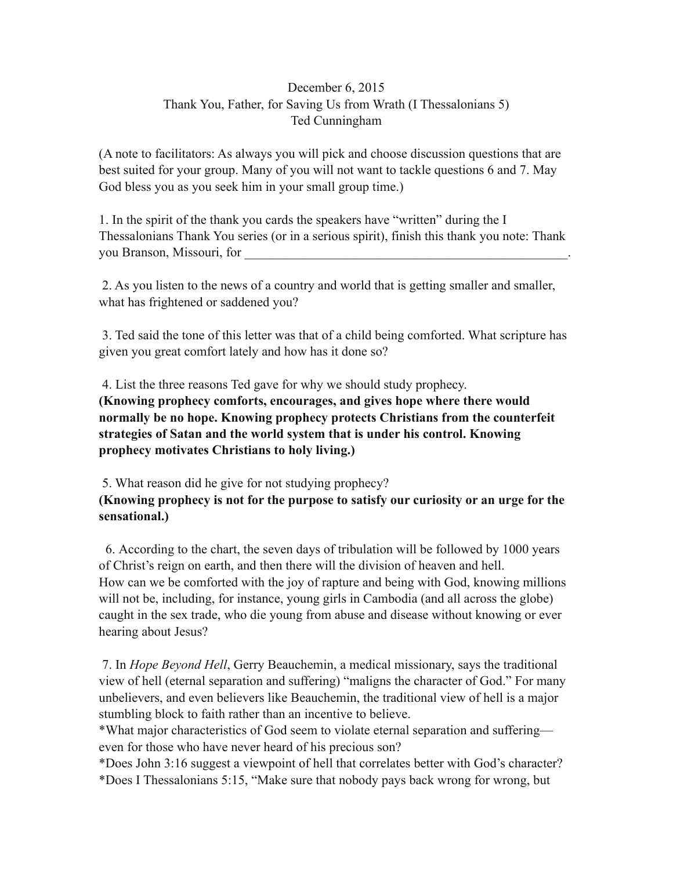## December 6, 2015 Thank You, Father, for Saving Us from Wrath (I Thessalonians 5) Ted Cunningham

(A note to facilitators: As always you will pick and choose discussion questions that are best suited for your group. Many of you will not want to tackle questions 6 and 7. May God bless you as you seek him in your small group time.)

1. In the spirit of the thank you cards the speakers have "written" during the I Thessalonians Thank You series (or in a serious spirit), finish this thank you note: Thank you Branson, Missouri, for

 2. As you listen to the news of a country and world that is getting smaller and smaller, what has frightened or saddened you?

 3. Ted said the tone of this letter was that of a child being comforted. What scripture has given you great comfort lately and how has it done so?

 4. List the three reasons Ted gave for why we should study prophecy. **(Knowing prophecy comforts, encourages, and gives hope where there would normally be no hope. Knowing prophecy protects Christians from the counterfeit strategies of Satan and the world system that is under his control. Knowing prophecy motivates Christians to holy living.)** 

5. What reason did he give for not studying prophecy? **(Knowing prophecy is not for the purpose to satisfy our curiosity or an urge for the sensational.)** 

6. According to the chart, the seven days of tribulation will be followed by 1000 years of Christ's reign on earth, and then there will the division of heaven and hell. How can we be comforted with the joy of rapture and being with God, knowing millions will not be, including, for instance, young girls in Cambodia (and all across the globe) caught in the sex trade, who die young from abuse and disease without knowing or ever hearing about Jesus?

 7. In *Hope Beyond Hell*, Gerry Beauchemin, a medical missionary, says the traditional view of hell (eternal separation and suffering) "maligns the character of God." For many unbelievers, and even believers like Beauchemin, the traditional view of hell is a major stumbling block to faith rather than an incentive to believe.

\*What major characteristics of God seem to violate eternal separation and suffering even for those who have never heard of his precious son?

\*Does John 3:16 suggest a viewpoint of hell that correlates better with God's character? \*Does I Thessalonians 5:15, "Make sure that nobody pays back wrong for wrong, but